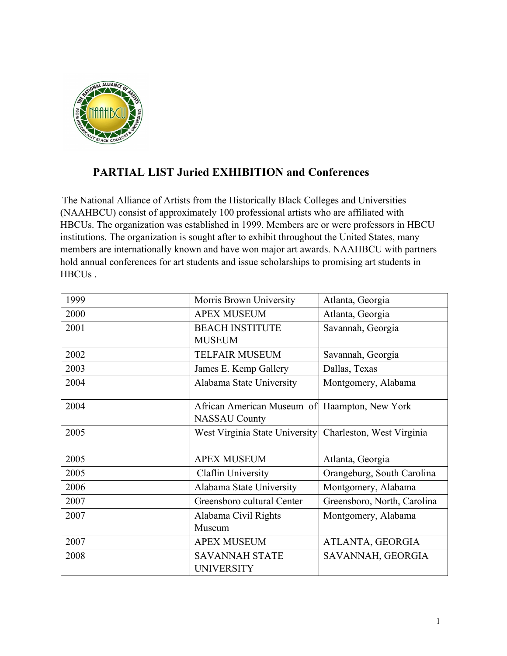

## **PARTIAL LIST Juried EXHIBITION and Conferences**

The National Alliance of Artists from the Historically Black Colleges and Universities (NAAHBCU) consist of approximately 100 professional artists who are affiliated with HBCUs. The organization was established in 1999. Members are or were professors in HBCU institutions. The organization is sought after to exhibit throughout the United States, many members are internationally known and have won major art awards. NAAHBCU with partners hold annual conferences for art students and issue scholarships to promising art students in HBCUs .

| 1999 | Morris Brown University                    | Atlanta, Georgia            |
|------|--------------------------------------------|-----------------------------|
| 2000 | <b>APEX MUSEUM</b>                         | Atlanta, Georgia            |
| 2001 | <b>BEACH INSTITUTE</b>                     | Savannah, Georgia           |
|      | <b>MUSEUM</b>                              |                             |
| 2002 | <b>TELFAIR MUSEUM</b>                      | Savannah, Georgia           |
| 2003 | James E. Kemp Gallery                      | Dallas, Texas               |
| 2004 | Alabama State University                   | Montgomery, Alabama         |
| 2004 | African American Museum of                 | Haampton, New York          |
|      | <b>NASSAU County</b>                       |                             |
| 2005 | West Virginia State University             | Charleston, West Virginia   |
|      |                                            |                             |
| 2005 | <b>APEX MUSEUM</b>                         | Atlanta, Georgia            |
| 2005 | Claflin University                         | Orangeburg, South Carolina  |
| 2006 | Alabama State University                   | Montgomery, Alabama         |
| 2007 | Greensboro cultural Center                 | Greensboro, North, Carolina |
| 2007 | Alabama Civil Rights                       | Montgomery, Alabama         |
|      | Museum                                     |                             |
| 2007 | <b>APEX MUSEUM</b>                         | ATLANTA, GEORGIA            |
| 2008 | <b>SAVANNAH STATE</b><br><b>UNIVERSITY</b> | SAVANNAH, GEORGIA           |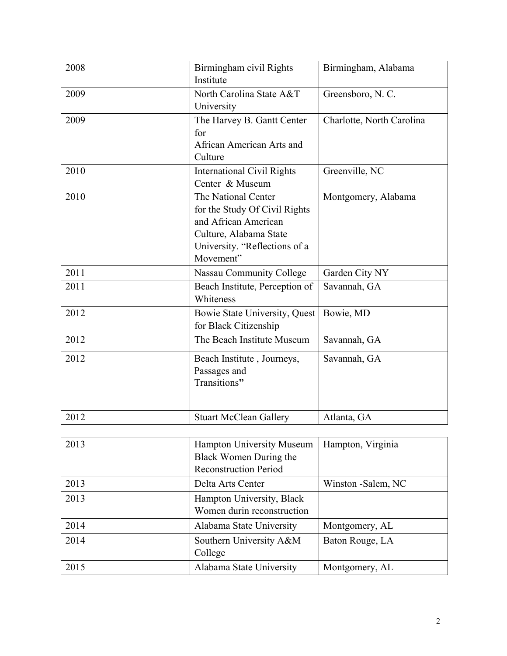| 2008 | Birmingham civil Rights<br>Institute                                                                                                                 | Birmingham, Alabama       |
|------|------------------------------------------------------------------------------------------------------------------------------------------------------|---------------------------|
| 2009 | North Carolina State A&T<br>University                                                                                                               | Greensboro, N.C.          |
| 2009 | The Harvey B. Gantt Center<br>for<br>African American Arts and<br>Culture                                                                            | Charlotte, North Carolina |
| 2010 | <b>International Civil Rights</b><br>Center & Museum                                                                                                 | Greenville, NC            |
| 2010 | The National Center<br>for the Study Of Civil Rights<br>and African American<br>Culture, Alabama State<br>University. "Reflections of a<br>Movement" | Montgomery, Alabama       |
| 2011 | <b>Nassau Community College</b>                                                                                                                      | Garden City NY            |
| 2011 | Beach Institute, Perception of<br>Whiteness                                                                                                          | Savannah, GA              |
| 2012 | Bowie State University, Quest<br>for Black Citizenship                                                                                               | Bowie, MD                 |
| 2012 | The Beach Institute Museum                                                                                                                           | Savannah, GA              |
| 2012 | Beach Institute, Journeys,<br>Passages and<br>Transitions"                                                                                           | Savannah, GA              |
| 2012 | <b>Stuart McClean Gallery</b>                                                                                                                        | Atlanta, GA               |
| 2013 | Hampton University Museum<br>Black Women During the<br><b>Reconstruction Period</b>                                                                  | Hampton, Virginia         |
| 2013 | Delta Arts Center                                                                                                                                    | Winston -Salem, NC        |
| 2013 | Hampton University, Black<br>Women durin reconstruction                                                                                              |                           |
| 2014 | Alabama State University                                                                                                                             | Montgomery, AL            |
| 2014 | Southern University A&M<br>College                                                                                                                   | Baton Rouge, LA           |
| 2015 | Alabama State University                                                                                                                             | Montgomery, AL            |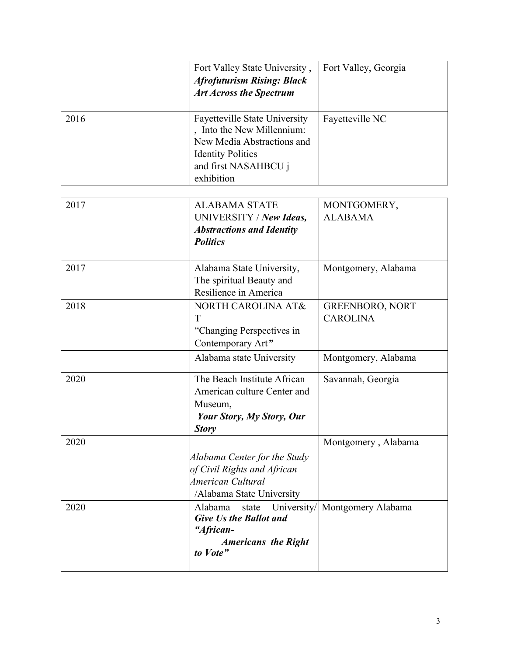|      | Fort Valley State University,<br><b>Afrofuturism Rising: Black</b><br><b>Art Across the Spectrum</b>                                                               | Fort Valley, Georgia                      |
|------|--------------------------------------------------------------------------------------------------------------------------------------------------------------------|-------------------------------------------|
| 2016 | <b>Fayetteville State University</b><br>, Into the New Millennium:<br>New Media Abstractions and<br><b>Identity Politics</b><br>and first NASAHBCU j<br>exhibition | Fayetteville NC                           |
| 2017 | <b>ALABAMA STATE</b><br>UNIVERSITY / New Ideas,<br><b>Abstractions and Identity</b><br><b>Politics</b>                                                             | MONTGOMERY,<br><b>ALABAMA</b>             |
| 2017 | Alabama State University,<br>The spiritual Beauty and<br>Resilience in America                                                                                     | Montgomery, Alabama                       |
| 2018 | NORTH CAROLINA AT&<br>T<br>"Changing Perspectives in<br>Contemporary Art"                                                                                          | <b>GREENBORO, NORT</b><br><b>CAROLINA</b> |
|      | Alabama state University                                                                                                                                           | Montgomery, Alabama                       |
| 2020 | The Beach Institute African<br>American culture Center and<br>Museum,<br>Your Story, My Story, Our<br><b>Story</b>                                                 | Savannah, Georgia                         |
| 2020 | Alabama Center for the Study<br>of Civil Rights and African<br>American Cultural<br>/Alabama State University                                                      | Montgomery, Alabama                       |
| 2020 | Alabama<br>University/<br>state<br><b>Give Us the Ballot and</b><br>"African-<br><b>Americans the Right</b><br>to Vote"                                            | Montgomery Alabama                        |